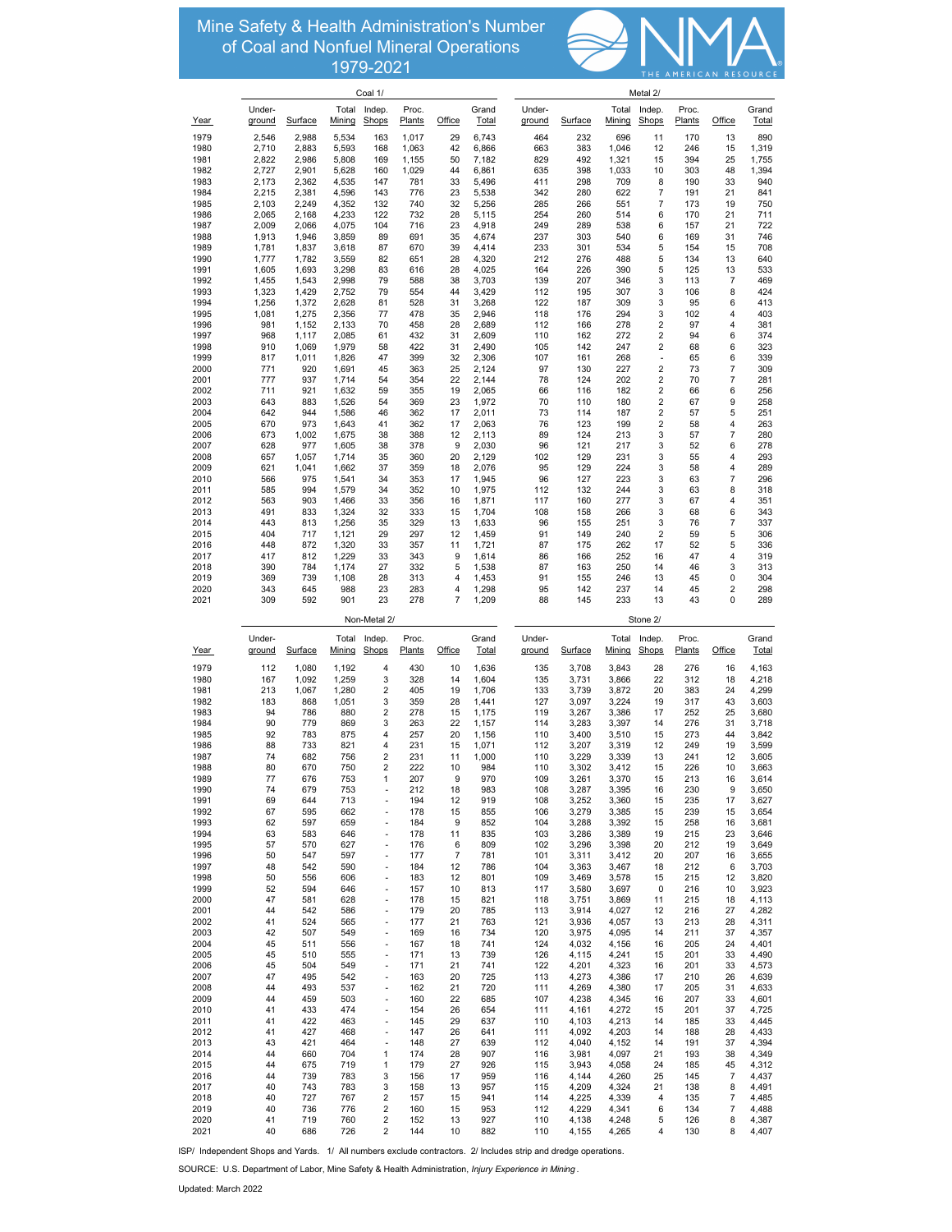**Mineral Operations NUMBER OF COMPANY OPERATIONS IN THE UNITED STATES IN THE UNITED STATES.** Mine Safety & Health Administration's Number of Coal and Nonfuel Mineral Operations 1979-2021



|              | Coal 1/          |                |                |                                                          |                 |                      |                | Metal 2/         |                |                |                         |                 |                |                |  |
|--------------|------------------|----------------|----------------|----------------------------------------------------------|-----------------|----------------------|----------------|------------------|----------------|----------------|-------------------------|-----------------|----------------|----------------|--|
|              | Under-           |                |                | Total Indep.                                             | Proc.           |                      | Grand          | Under-           |                | Total          | Indep.                  | Proc.           |                | Grand          |  |
| <u>Year</u>  | ground           | Surface        | Mining         | Shops                                                    | Plants          | Office               | Total          | ground           | Surface        | Mining         | Shops                   | Plants          | Office         | Total          |  |
| 1979<br>1980 | 2,546<br>2,710   | 2,988<br>2,883 | 5,534<br>5,593 | 163<br>168                                               | 1,017<br>1,063  | 29<br>42             | 6,743<br>6,866 | 464<br>663       | 232<br>383     | 696<br>1,046   | 11<br>12                | 170<br>246      | 13<br>15       | 890<br>1,319   |  |
| 1981         | 2,822            | 2,986          | 5,808          | 169                                                      | 1,155           | 50                   | 7,182          | 829              | 492            | 1,321          | 15                      | 394             | 25             | 1,755          |  |
| 1982         | 2,727            | 2,901          | 5,628          | 160                                                      | 1,029           | 44                   | 6,861          | 635              | 398            | 1,033          | 10                      | 303             | 48             | 1,394          |  |
| 1983         | 2,173            | 2,362          | 4,535          | 147                                                      | 781             | 33                   | 5,496          | 411              | 298            | 709            | 8                       | 190             | 33             | 940            |  |
| 1984<br>1985 | 2,215<br>2,103   | 2,381<br>2,249 | 4,596<br>4,352 | 143<br>132                                               | 776<br>740      | 23<br>32             | 5,538<br>5,256 | 342<br>285       | 280<br>266     | 622<br>551     | 7<br>$\overline{7}$     | 191<br>173      | 21<br>19       | 841<br>750     |  |
| 1986         | 2,065            | 2,168          | 4,233          | 122                                                      | 732             | 28                   | 5,115          | 254              | 260            | 514            | 6                       | 170             | 21             | 711            |  |
| 1987         | 2,009            | 2,066          | 4,075          | 104                                                      | 716             | 23                   | 4,918          | 249              | 289            | 538            | 6                       | 157             | 21             | 722            |  |
| 1988         | 1,913            | 1,946          | 3,859          | 89                                                       | 691             | 35                   | 4,674          | 237              | 303            | 540            | 6                       | 169             | 31             | 746<br>708     |  |
| 1989<br>1990 | 1,781<br>1,777   | 1,837<br>1,782 | 3,618<br>3,559 | 87<br>82                                                 | 670<br>651      | 39<br>28             | 4,414<br>4,320 | 233<br>212       | 301<br>276     | 534<br>488     | 5<br>5                  | 154<br>134      | 15<br>13       | 640            |  |
| 1991         | 1,605            | 1,693          | 3,298          | 83                                                       | 616             | 28                   | 4,025          | 164              | 226            | 390            | 5                       | 125             | 13             | 533            |  |
| 1992         | 1,455            | 1,543          | 2,998          | 79                                                       | 588             | 38                   | 3,703          | 139              | 207            | 346            | 3                       | 113             | 7              | 469            |  |
| 1993<br>1994 | 1,323<br>1,256   | 1,429<br>1,372 | 2,752<br>2,628 | 79<br>81                                                 | 554<br>528      | 44<br>31             | 3,429<br>3,268 | 112<br>122       | 195<br>187     | 307<br>309     | 3<br>3                  | 106<br>95       | 8<br>6         | 424<br>413     |  |
| 1995         | 1,081            | 1,275          | 2,356          | 77                                                       | 478             | 35                   | 2,946          | 118              | 176            | 294            | 3                       | 102             | 4              | 403            |  |
| 1996         | 981              | 1,152          | 2,133          | 70                                                       | 458             | 28                   | 2,689          | 112              | 166            | 278            | 2                       | 97              | 4              | 381            |  |
| 1997         | 968              | 1,117          | 2,085          | 61                                                       | 432             | 31                   | 2,609          | 110              | 162            | 272            | $\overline{\mathbf{c}}$ | 94              | 6              | 374            |  |
| 1998<br>1999 | 910<br>817       | 1,069<br>1,011 | 1,979<br>1,826 | 58<br>47                                                 | 422<br>399      | 31<br>32             | 2,490<br>2,306 | 105<br>107       | 142<br>161     | 247<br>268     | 2<br>Ĭ.                 | 68<br>65        | 6<br>6         | 323<br>339     |  |
| 2000         | 771              | 920            | 1,691          | 45                                                       | 363             | 25                   | 2,124          | 97               | 130            | 227            | $\overline{2}$          | 73              | $\overline{7}$ | 309            |  |
| 2001         | 777              | 937            | 1,714          | 54                                                       | 354             | 22                   | 2,144          | 78               | 124            | 202            | $\overline{2}$          | 70              | $\overline{7}$ | 281            |  |
| 2002         | 711              | 921            | 1,632          | 59                                                       | 355             | 19                   | 2,065          | 66               | 116            | 182            | 2                       | 66              | 6              | 256            |  |
| 2003<br>2004 | 643<br>642       | 883<br>944     | 1,526<br>1,586 | 54<br>46                                                 | 369<br>362      | 23<br>17             | 1,972<br>2,011 | 70<br>73         | 110<br>114     | 180<br>187     | 2<br>$\overline{2}$     | 67<br>57        | 9<br>5         | 258<br>251     |  |
| 2005         | 670              | 973            | 1,643          | 41                                                       | 362             | 17                   | 2,063          | 76               | 123            | 199            | 2                       | 58              | 4              | 263            |  |
| 2006         | 673              | 1,002          | 1,675          | 38                                                       | 388             | 12                   | 2,113          | 89               | 124            | 213            | 3                       | 57              | $\overline{7}$ | 280            |  |
| 2007<br>2008 | 628<br>657       | 977<br>1,057   | 1.605<br>1,714 | 38<br>35                                                 | 378<br>360      | 9<br>20              | 2,030<br>2,129 | 96<br>102        | 121<br>129     | 217<br>231     | 3<br>3                  | 52<br>55        | 6<br>4         | 278<br>293     |  |
| 2009         | 621              | 1,041          | 1,662          | 37                                                       | 359             | 18                   | 2,076          | 95               | 129            | 224            | 3                       | 58              | 4              | 289            |  |
| 2010         | 566              | 975            | 1,541          | 34                                                       | 353             | 17                   | 1,945          | 96               | 127            | 223            | 3                       | 63              | 7              | 296            |  |
| 2011         | 585              | 994            | 1,579          | 34                                                       | 352             | 10                   | 1.975          | 112              | 132            | 244            | 3                       | 63              | 8              | 318            |  |
| 2012<br>2013 | 563<br>491       | 903<br>833     | 1,466<br>1,324 | 33<br>32                                                 | 356<br>333      | 16<br>15             | 1,871<br>1,704 | 117<br>108       | 160<br>158     | 277<br>266     | 3<br>3                  | 67<br>68        | 4<br>6         | 351<br>343     |  |
| 2014         | 443              | 813            | 1,256          | 35                                                       | 329             | 13                   | 1,633          | 96               | 155            | 251            | 3                       | 76              | $\overline{7}$ | 337            |  |
| 2015         | 404              | 717            | 1,121          | 29                                                       | 297             | 12                   | 1,459          | 91               | 149            | 240            | $\overline{2}$          | 59              | 5              | 306            |  |
| 2016<br>2017 | 448<br>417       | 872<br>812     | 1,320<br>1,229 | 33<br>33                                                 | 357<br>343      | 11<br>9              | 1,721<br>1,614 | 87<br>86         | 175<br>166     | 262<br>252     | 17<br>16                | 52<br>47        | 5<br>4         | 336<br>319     |  |
| 2018         | 390              | 784            | 1,174          | 27                                                       | 332             | 5                    | 1,538          | 87               | 163            | 250            | 14                      | 46              | 3              | 313            |  |
| 2019         | 369              | 739            | 1,108          | 28                                                       | 313             | 4                    | 1,453          | 91               | 155            | 246            | 13                      | 45              | 0              | 304            |  |
| 2020<br>2021 | 343<br>309       | 645<br>592     | 988<br>901     | 23<br>23                                                 | 283<br>278      | 4<br>7               | 1,298<br>1,209 | 95<br>88         | 142<br>145     | 237<br>233     | 14<br>13                | 45<br>43        | 2<br>0         | 298<br>289     |  |
|              |                  |                |                |                                                          |                 |                      |                |                  |                |                |                         |                 |                |                |  |
|              |                  |                |                |                                                          |                 |                      |                |                  |                |                |                         |                 |                |                |  |
|              |                  |                |                | Non-Metal 2/                                             |                 |                      |                |                  |                |                | Stone 2/                |                 |                |                |  |
| Year         | Under-<br>ground | Surface        | Mining         | Total Indep.<br>Shops                                    | Proc.<br>Plants | Office               | Grand<br>Total | Under-<br>ground | Surface        | Mining         | Total Indep.<br>Shops   | Proc.<br>Plants | Office         | Grand<br>Total |  |
| 1979         | 112              | 1,080          | 1,192          | 4                                                        | 430             | 10                   | 1,636          | 135              | 3,708          | 3,843          | 28                      | 276             | 16             | 4,163          |  |
| 1980         | 167              | 1,092          | 1,259          | 3                                                        | 328             | 14                   | 1,604          | 135              | 3,731          | 3,866          | 22                      | 312             | 18             | 4,218          |  |
| 1981         | 213              | 1,067          | 1,280          | $\overline{\mathbf{c}}$                                  | 405             | 19                   | 1,706          | 133              | 3,739          | 3,872          | 20                      | 383             | 24             | 4,299          |  |
| 1982<br>1983 | 183<br>94        | 868<br>786     | 1,051<br>880   | 3<br>$\overline{2}$                                      | 359<br>278      | 28<br>15             | 1,441<br>1,175 | 127<br>119       | 3,097<br>3,267 | 3,224<br>3,386 | 19<br>17                | 317<br>252      | 43<br>25       | 3,603<br>3,680 |  |
| 1984         | 90               | 779            | 869            | 3                                                        | 263             | 22                   | 1,157          | 114              | 3,283          | 3,397          | 14                      | 276             | 31             | 3,718          |  |
| 1985         | 92               | 783            | 875            | 4                                                        | 257             | 20                   | 1,156          | 110              | 3,400          | 3,510          | 15                      | 273             | 44             | 3,842          |  |
| 1986         | 88               | 733            | 821            | $\overline{4}$                                           | 231             | 15                   | 1,071          | 112              | 3,207          | 3,319          | 12                      | 249             | 19             | 3,599          |  |
| 1987<br>1988 | 74<br>80         | 682<br>670     | 756<br>750     | $\overline{2}$<br>$\overline{2}$                         | 231<br>222      | 11<br>10             | 1,000<br>984   | 110<br>110       | 3,229<br>3,302 | 3,339<br>3,412 | 13<br>15                | 241<br>226      | 12<br>10       | 3,605<br>3,663 |  |
| 1989         | 77               | 676            | 753            | 1                                                        | 207             | 9                    | 970            | 109              | 3,261          | 3,370          | 15                      | 213             | 16             | 3,614          |  |
| 1990         | 74               | 679            | 753            |                                                          | 212             | 18                   | 983            | 108              | 3,287          | 3,395          | 16                      | 230             | 9              | 3,650          |  |
| 1991<br>1992 | 69<br>67         | 644<br>595     | 713<br>662     | Ĭ.                                                       | 194<br>178      | 12<br>15             | 919<br>855     | 108<br>106       | 3,252<br>3,279 | 3,360<br>3,385 | 15<br>15                | 235<br>239      | 17<br>15       | 3,627<br>3,654 |  |
| 1993         | 62               | 597            | 659            | $\qquad \qquad \blacksquare$                             | 184             | 9                    | 852            | 104              | 3,288          | 3,392          | 15                      | 258             | 16             | 3,681          |  |
| 1994         | 63               | 583            | 646            | $\overline{\phantom{a}}$                                 | 178             | 11                   | 835            | 103              | 3,286          | 3,389          | 19                      | 215             | 23             | 3,646          |  |
| 1995         | 57               | 570            | 627            | ÷,<br>$\overline{a}$                                     | 176             | 6                    | 809            | 102              | 3,296          | 3,398          | 20                      | 212             | 19             | 3,649          |  |
| 1996<br>1997 | 50<br>48         | 547<br>542     | 597<br>590     | $\overline{\phantom{a}}$                                 | 177<br>184      | $\overline{7}$<br>12 | 781<br>786     | 101<br>104       | 3,311<br>3,363 | 3,412<br>3,467 | 20<br>18                | 207<br>212      | 16<br>6        | 3,655<br>3,703 |  |
| 1998         | 50               | 556            | 606            | ÷,                                                       | 183             | 12                   | 801            | 109              | 3,469          | 3,578          | 15                      | 215             | 12             | 3,820          |  |
| 1999         | 52               | 594            | 646            | ÷,                                                       | 157             | 10                   | 813            | 117              | 3,580          | 3,697          | 0                       | 216             | 10             | 3,923          |  |
| 2000<br>2001 | 47<br>44         | 581<br>542     | 628<br>586     | $\overline{\phantom{a}}$<br>$\overline{\phantom{a}}$     | 178<br>179      | 15<br>20             | 821<br>785     | 118<br>113       | 3,751<br>3,914 | 3,869<br>4,027 | 11<br>12                | 215<br>216      | 18<br>27       | 4,113<br>4,282 |  |
| 2002         | 41               | 524            | 565            | ÷,                                                       | 177             | 21                   | 763            | 121              | 3,936          | 4,057          | 13                      | 213             | 28             | 4,311          |  |
| 2003         | 42               | 507            | 549            | ÷,                                                       | 169             | 16                   | 734            | 120              | 3,975          | 4,095          | 14                      | 211             | 37             | 4,357          |  |
| 2004<br>2005 | 45<br>45         | 511<br>510     | 556<br>555     | $\qquad \qquad \blacksquare$<br>$\overline{\phantom{a}}$ | 167<br>171      | 18<br>13             | 741<br>739     | 124<br>126       | 4,032<br>4,115 | 4,156<br>4,241 | 16<br>15                | 205<br>201      | 24<br>33       | 4,401<br>4,490 |  |
| 2006         | 45               | 504            | 549            | ÷,                                                       | 171             | 21                   | 741            | 122              | 4,201          | 4,323          | 16                      | 201             | 33             | 4,573          |  |
| 2007         | 47               | 495            | 542            | $\qquad \qquad \blacksquare$                             | 163             | 20                   | 725            | 113              | 4,273          | 4,386          | 17                      | 210             | 26             | 4,639          |  |
| 2008         | 44<br>44         | 493            | 537            | ÷,<br>÷,                                                 | 162             | 21                   | 720            | 111              | 4,269          | 4,380          | 17                      | 205             | 31             | 4,633          |  |
| 2009<br>2010 | 41               | 459<br>433     | 503<br>474     | ÷,                                                       | 160<br>154      | 22<br>26             | 685<br>654     | 107<br>111       | 4,238<br>4,161 | 4,345<br>4,272 | 16<br>15                | 207<br>201      | 33<br>37       | 4,601<br>4,725 |  |
| 2011         | 41               | 422            | 463            | ÷,                                                       | 145             | 29                   | 637            | 110              | 4,103          | 4,213          | 14                      | 185             | 33             | 4,445          |  |
| 2012         | 41               | 427            | 468            | $\overline{\phantom{a}}$                                 | 147             | 26                   | 641            | 111              | 4,092          | 4,203          | 14                      | 188             | 28             | 4,433          |  |
| 2013<br>2014 | 43<br>44         | 421<br>660     | 464<br>704     | ÷,<br>1                                                  | 148<br>174      | 27<br>28             | 639<br>907     | 112<br>116       | 4,040<br>3,981 | 4,152<br>4,097 | 14<br>21                | 191<br>193      | 37<br>38       | 4,394<br>4,349 |  |
| 2015         | 44               | 675            | 719            | 1                                                        | 179             | 27                   | 926            | 115              | 3,943          | 4,058          | 24                      | 185             | 45             | 4,312          |  |
| 2016         | 44               | 739            | 783            | 3                                                        | 156             | 17                   | 959            | 116              | 4,144          | 4,260          | 25                      | 145             | 7              | 4,437          |  |
| 2017<br>2018 | 40<br>40         | 743<br>727     | 783<br>767     | 3<br>2                                                   | 158<br>157      | 13<br>15             | 957<br>941     | 115<br>114       | 4,209<br>4,225 | 4,324<br>4,339 | 21<br>4                 | 138<br>135      | 8<br>7         | 4,491<br>4,485 |  |
| 2019         | 40               | 736            | 776            | 2                                                        | 160             | 15                   | 953            | 112              | 4,229          | 4,341          | 6                       | 134             | 7              | 4,488          |  |
| 2020<br>2021 | 41<br>40         | 719<br>686     | 760<br>726     | $\boldsymbol{2}$<br>2                                    | 152<br>144      | 13<br>10             | 927<br>882     | 110<br>110       | 4,138<br>4,155 | 4,248<br>4,265 | 5<br>4                  | 126<br>130      | 8<br>8         | 4,387<br>4,407 |  |

ISP/ Independent Shops and Yards. 1/ All numbers exclude contractors. 2/ Includes strip and dredge operations.

SOURCE: U.S. Department of Labor, Mine Safety & Health Administration, *Injury Experience in Mining* .